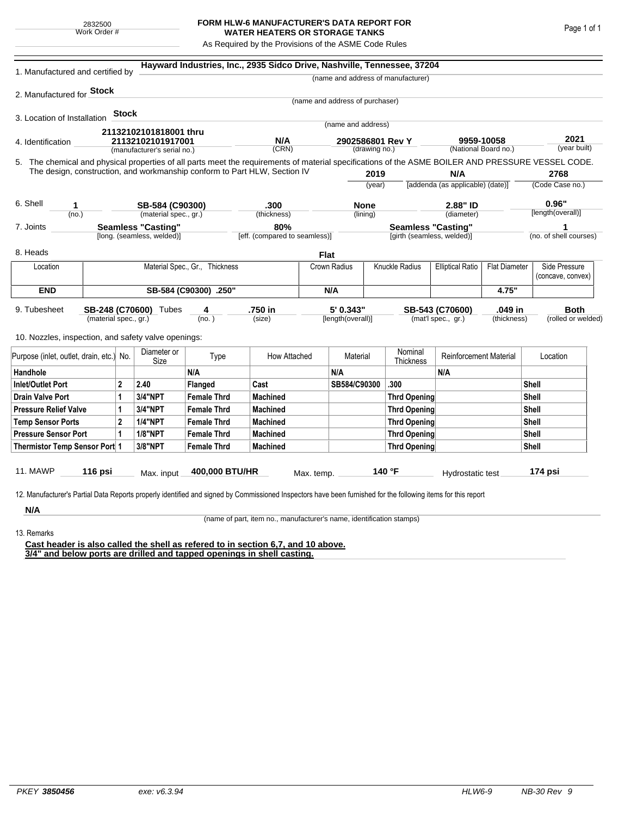## **FORM HLW-6 MANUFACTURER'S DATA REPORT FOR WATER HEATERS OR STORAGE TANKS**

As Required by the Provisions of the ASME Code Rules

| 1. Manufactured and certified by                                                                                                                                                                                                                              |                                |       |                                                  |                               | Hayward Industries, Inc., 2935 Sidco Drive, Nashville, Tennessee, 37204 |             |                                   |                                   |                                    |                                                 |       |                      |                                    |  |
|---------------------------------------------------------------------------------------------------------------------------------------------------------------------------------------------------------------------------------------------------------------|--------------------------------|-------|--------------------------------------------------|-------------------------------|-------------------------------------------------------------------------|-------------|-----------------------------------|-----------------------------------|------------------------------------|-------------------------------------------------|-------|----------------------|------------------------------------|--|
|                                                                                                                                                                                                                                                               |                                |       |                                                  |                               |                                                                         |             |                                   |                                   | (name and address of manufacturer) |                                                 |       |                      |                                    |  |
| 2. Manufactured for Stock                                                                                                                                                                                                                                     |                                |       |                                                  |                               |                                                                         |             |                                   |                                   |                                    |                                                 |       |                      |                                    |  |
|                                                                                                                                                                                                                                                               |                                |       |                                                  |                               |                                                                         |             | (name and address of purchaser)   |                                   |                                    |                                                 |       |                      |                                    |  |
| 3. Location of Installation                                                                                                                                                                                                                                   |                                | Stock |                                                  |                               |                                                                         |             | (name and address)                |                                   |                                    |                                                 |       |                      |                                    |  |
|                                                                                                                                                                                                                                                               |                                |       | 21132102101818001 thru                           |                               |                                                                         |             |                                   |                                   |                                    |                                                 |       |                      |                                    |  |
| 4. Identification                                                                                                                                                                                                                                             |                                |       | 21132102101917001<br>(manufacturer's serial no.) |                               | N/A<br>(CRN)                                                            |             | 2902586801 Rev Y<br>(drawing no.) |                                   |                                    | 9959-10058<br>(National Board no.)              |       | 2021<br>(year built) |                                    |  |
| 5. The chemical and physical properties of all parts meet the requirements of material specifications of the ASME BOILER AND PRESSURE VESSEL CODE.                                                                                                            |                                |       |                                                  |                               |                                                                         |             |                                   |                                   |                                    |                                                 |       |                      |                                    |  |
| The design, construction, and workmanship conform to Part HLW, Section IV                                                                                                                                                                                     |                                |       |                                                  |                               |                                                                         |             |                                   | 2019                              |                                    | N/A                                             |       |                      | 2768                               |  |
|                                                                                                                                                                                                                                                               |                                |       |                                                  |                               |                                                                         |             | (year)                            |                                   |                                    | [addenda (as applicable) (date)]                |       |                      | (Code Case no.)                    |  |
| 6. Shell                                                                                                                                                                                                                                                      |                                |       | SB-584 (C90300)                                  |                               | .300                                                                    |             | <b>None</b>                       |                                   |                                    | 2.88" ID                                        |       | 0.96"                |                                    |  |
| 1<br>(no.)                                                                                                                                                                                                                                                    |                                |       | (material spec., gr.)                            |                               | (thickness)                                                             |             | (lining)                          |                                   | (diameter)                         |                                                 |       | [length(overall)]    |                                    |  |
| <b>Seamless "Casting"</b><br>7. Joints                                                                                                                                                                                                                        |                                |       |                                                  |                               | 80%                                                                     |             |                                   |                                   | <b>Seamless "Casting"</b>          |                                                 |       |                      | 1                                  |  |
| [long. (seamless, welded)]                                                                                                                                                                                                                                    |                                |       |                                                  | [eff. (compared to seamless)] |                                                                         |             |                                   |                                   | [girth (seamless, welded)]         |                                                 |       |                      | (no. of shell courses)             |  |
| 8. Heads                                                                                                                                                                                                                                                      |                                |       |                                                  |                               |                                                                         | <b>Flat</b> |                                   |                                   |                                    |                                                 |       |                      |                                    |  |
| Location                                                                                                                                                                                                                                                      | Material Spec., Gr., Thickness |       |                                                  |                               |                                                                         |             | Knuckle Radius<br>Crown Radius    |                                   |                                    | <b>Elliptical Ratio</b><br><b>Flat Diameter</b> |       |                      | Side Pressure<br>(concave, convex) |  |
| <b>END</b>                                                                                                                                                                                                                                                    |                                |       |                                                  | SB-584 (C90300) .250"         |                                                                         | N/A         |                                   |                                   |                                    |                                                 | 4.75" |                      |                                    |  |
| 5' 0.343"<br>.750 in<br>.049 in<br>9. Tubesheet<br>SB-248 (C70600) Tubes<br>SB-543 (C70600)<br>4<br>(material spec., gr.)<br>(mat'l spec., gr.)<br>(no.)<br>(size)<br>[length(overall)]<br>(thickness)<br>10. Nozzles, inspection, and safety valve openings: |                                |       |                                                  |                               |                                                                         |             |                                   | <b>Both</b><br>(rolled or welded) |                                    |                                                 |       |                      |                                    |  |
| Purpose (inlet, outlet, drain, etc.) No.                                                                                                                                                                                                                      |                                |       | Diameter or<br>Size                              | Type                          | How Attached                                                            |             | Material                          |                                   | Nominal<br>Thickness               | <b>Reinforcement Material</b>                   |       |                      | Location                           |  |
| Handhole                                                                                                                                                                                                                                                      |                                |       |                                                  | N/A                           |                                                                         |             | N/A                               |                                   |                                    | N/A                                             |       |                      |                                    |  |
| 2<br>Inlet/Outlet Port                                                                                                                                                                                                                                        |                                |       | 2.40                                             | Flanged                       | Cast                                                                    |             | SB584/C90300                      |                                   | .300                               |                                                 |       | Shell                |                                    |  |
| Drain Valve Port<br>1                                                                                                                                                                                                                                         |                                |       | <b>3/4"NPT</b>                                   | <b>Female Thrd</b>            | <b>Machined</b>                                                         |             |                                   |                                   | Thrd Opening                       |                                                 |       |                      | Shell                              |  |
| <b>Pressure Relief Valve</b><br>1                                                                                                                                                                                                                             |                                |       | 3/4"NPT                                          | <b>Female Thrd</b>            | <b>Machined</b>                                                         |             |                                   |                                   | Thrd Opening                       |                                                 |       | Shell                |                                    |  |
| $\overline{2}$<br><b>Temp Sensor Ports</b>                                                                                                                                                                                                                    |                                |       | <b>1/4"NPT</b>                                   | <b>Female Thrd</b>            | <b>Machined</b>                                                         |             |                                   |                                   | Thrd Opening                       |                                                 |       | Shell                |                                    |  |
| <b>Pressure Sensor Port</b><br>1                                                                                                                                                                                                                              |                                |       | <b>1/8"NPT</b>                                   | <b>Female Thrd</b>            | <b>Machined</b>                                                         |             |                                   |                                   | Thrd Opening                       |                                                 |       | Shell                |                                    |  |
| Thermistor Temp Sensor Port 1                                                                                                                                                                                                                                 |                                |       | 3/8"NPT                                          | <b>Female Thrd</b>            | <b>Machined</b>                                                         |             |                                   |                                   | Thrd Opening                       |                                                 | Shell |                      |                                    |  |
| 11. MAWP<br>12. Manufacturer's Partial Data Reports properly identified and signed by Commissioned Inspectors have been furnished for the following items for this report                                                                                     | 116 psi                        |       | Max. input                                       | 400,000 BTU/HR                |                                                                         | Max. temp.  |                                   |                                   | 140 °F                             | Hydrostatic test                                |       |                      | 174 psi                            |  |
| N/A                                                                                                                                                                                                                                                           |                                |       |                                                  |                               |                                                                         |             |                                   |                                   |                                    |                                                 |       |                      |                                    |  |

(name of part, item no., manufacturer's name, identification stamps)

13. Remarks

**Cast header is also called the shell as refered to in section 6,7, and 10 above. 3/4" and below ports are drilled and tapped openings in shell casting.**